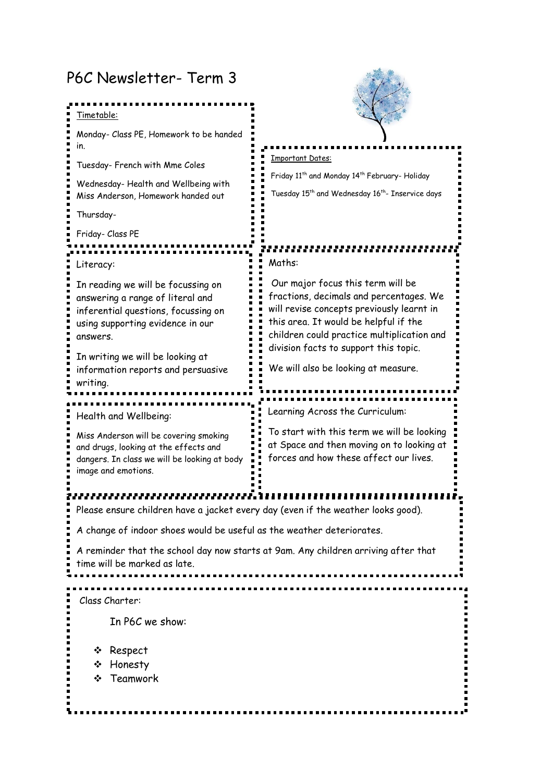## P6C Newsletter- Term 3

| Timetable:                                                                                                                                                    |                                                                                                                                                                                                                  |
|---------------------------------------------------------------------------------------------------------------------------------------------------------------|------------------------------------------------------------------------------------------------------------------------------------------------------------------------------------------------------------------|
| Monday- Class PE, Homework to be handed<br>In.                                                                                                                |                                                                                                                                                                                                                  |
| Tuesday- French with Mme Coles                                                                                                                                | <b>Important Dates:</b>                                                                                                                                                                                          |
| Wednesday-Health and Wellbeing with<br>Miss Anderson, Homework handed out                                                                                     | Friday 11 <sup>th</sup> and Monday 14 <sup>th</sup> February- Holiday<br>Tuesday 15 <sup>th</sup> and Wednesday 16 <sup>th</sup> - Inservice days                                                                |
| Thursday-                                                                                                                                                     |                                                                                                                                                                                                                  |
| Friday- Class PE                                                                                                                                              |                                                                                                                                                                                                                  |
| Literacy:                                                                                                                                                     | Maths:                                                                                                                                                                                                           |
| In reading we will be focussing on<br>answering a range of literal and<br>inferential questions, focussing on<br>using supporting evidence in our<br>answers. | Our major focus this term will be<br>fractions, decimals and percentages. We<br>will revise concepts previously learnt in<br>this area. It would be helpful if the<br>children could practice multiplication and |
| In writing we will be looking at<br>information reports and persuasive<br>writing.                                                                            | division facts to support this topic.<br>We will also be looking at measure.                                                                                                                                     |
|                                                                                                                                                               |                                                                                                                                                                                                                  |
| Health and Wellbeing:                                                                                                                                         | Learning Across the Curriculum:                                                                                                                                                                                  |
| Miss Anderson will be covering smoking<br>and drugs, looking at the effects and<br>dangers. In class we will be looking at body<br>image and emotions.        | To start with this term we will be looking<br>at Space and then moving on to looking at<br>forces and how these affect our lives.                                                                                |
|                                                                                                                                                               |                                                                                                                                                                                                                  |
| Please ensure children have a jacket every day (even if the weather looks good).                                                                              |                                                                                                                                                                                                                  |
| A change of indoor shoes would be useful as the weather deteriorates.                                                                                         |                                                                                                                                                                                                                  |
| A reminder that the school day now starts at 9am. Any children arriving after that<br>time will be marked as late.                                            |                                                                                                                                                                                                                  |
|                                                                                                                                                               |                                                                                                                                                                                                                  |
| Class Charter:                                                                                                                                                |                                                                                                                                                                                                                  |
| In P6C we show:                                                                                                                                               |                                                                                                                                                                                                                  |
| ❖ Respect                                                                                                                                                     |                                                                                                                                                                                                                  |
| ❖ Honesty                                                                                                                                                     |                                                                                                                                                                                                                  |
| ❖ Teamwork                                                                                                                                                    |                                                                                                                                                                                                                  |
|                                                                                                                                                               |                                                                                                                                                                                                                  |